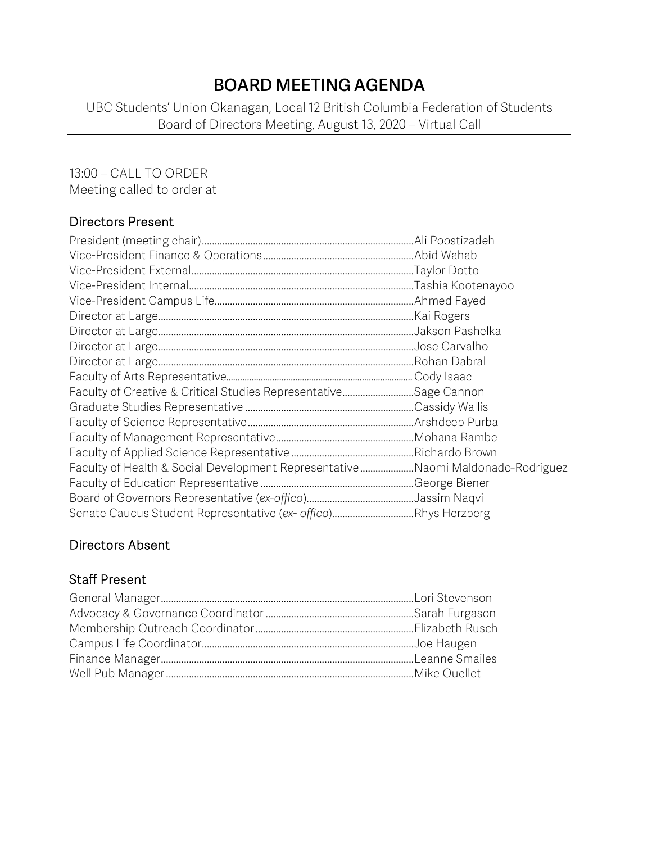## **BOARD MEETING AGENDA**

UBC Students' Union Okanagan, Local 12 British Columbia Federation of Students Board of Directors Meeting, August 13, 2020 – Virtual Call

## 13:00 – CALL TO ORDER

Meeting called to order at

## Directors Present

| Faculty of Creative & Critical Studies RepresentativeSage Cannon               |  |
|--------------------------------------------------------------------------------|--|
|                                                                                |  |
|                                                                                |  |
|                                                                                |  |
|                                                                                |  |
| Faculty of Health & Social Development RepresentativeNaomi Maldonado-Rodriguez |  |
|                                                                                |  |
|                                                                                |  |
| Senate Caucus Student Representative (ex- offico)Rhys Herzberg                 |  |

## Directors Absent

## Staff Present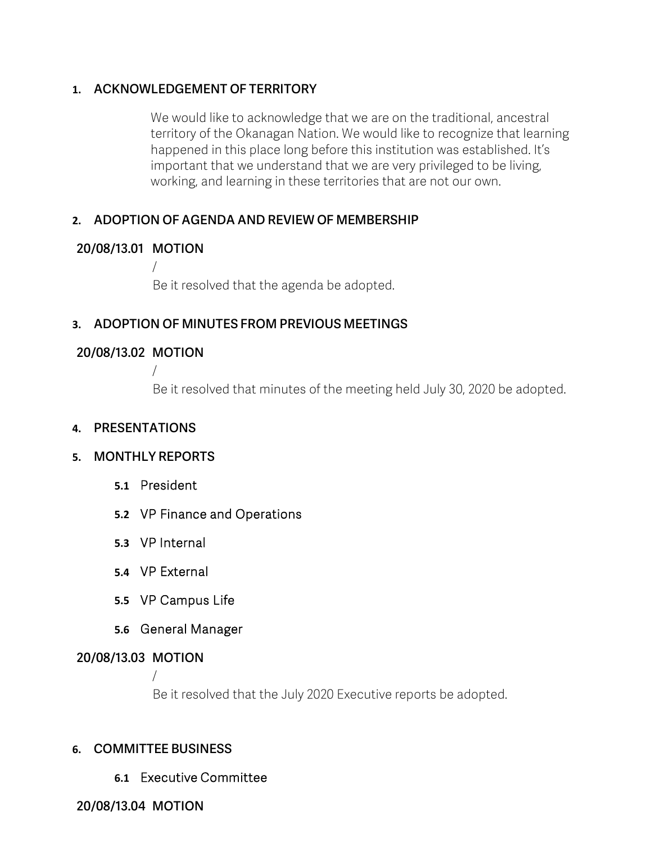#### **1. ACKNOWLEDGEMENT OF TERRITORY**

We would like to acknowledge that we are on the traditional, ancestral territory of the Okanagan Nation. We would like to recognize that learning happened in this place long before this institution was established. It's important that we understand that we are very privileged to be living, working, and learning in these territories that are not our own.

## **2. ADOPTION OF AGENDA AND REVIEW OF MEMBERSHIP**

## **20/08/13.01 MOTION**

/

Be it resolved that the agenda be adopted.

## **3. ADOPTION OF MINUTES FROM PREVIOUS MEETINGS**

## **20/08/13.02 MOTION**

/

Be it resolved that minutes of the meeting held July 30, 2020 be adopted.

#### **4. PRESENTATIONS**

## **5. MONTHLY REPORTS**

- **5.1** President
- **5.2** VP Finance and Operations
- **5.3** VP Internal
- **5.4** VP External
- **5.5** VP Campus Life
- **5.6** General Manager

## **20/08/13.03 MOTION**

/ Be it resolved that the July 2020 Executive reports be adopted.

## **6. COMMITTEE BUSINESS**

**6.1** Executive Committee

**20/08/13.04 MOTION**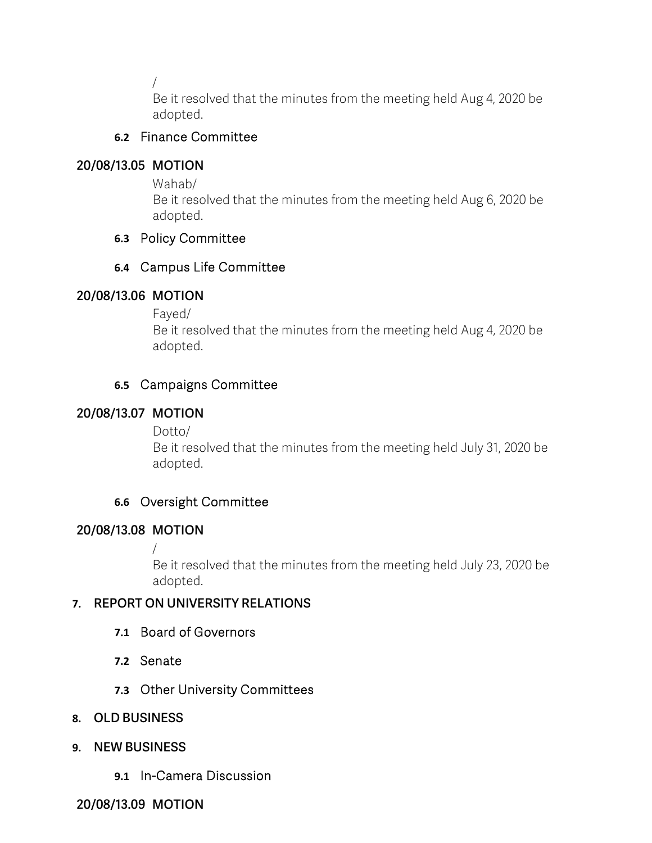/

Be it resolved that the minutes from the meeting held Aug 4, 2020 be adopted.

## **6.2** Finance Committee

## **20/08/13.05 MOTION**

Wahab/

Be it resolved that the minutes from the meeting held Aug 6, 2020 be adopted.

## **6.3** Policy Committee

## **6.4** Campus Life Committee

## **20/08/13.06 MOTION**

Fayed/

Be it resolved that the minutes from the meeting held Aug 4, 2020 be adopted.

## **6.5** Campaigns Committee

## **20/08/13.07 MOTION**

Dotto/

Be it resolved that the minutes from the meeting held July 31, 2020 be adopted.

## **6.6** Oversight Committee

## **20/08/13.08 MOTION**

/

Be it resolved that the minutes from the meeting held July 23, 2020 be adopted.

## **7. REPORT ON UNIVERSITY RELATIONS**

- **7.1** Board of Governors
- **7.2** Senate
- **7.3** Other University Committees
- **8. OLD BUSINESS**
- **9. NEW BUSINESS**
	- **9.1** In-Camera Discussion

**20/08/13.09 MOTION**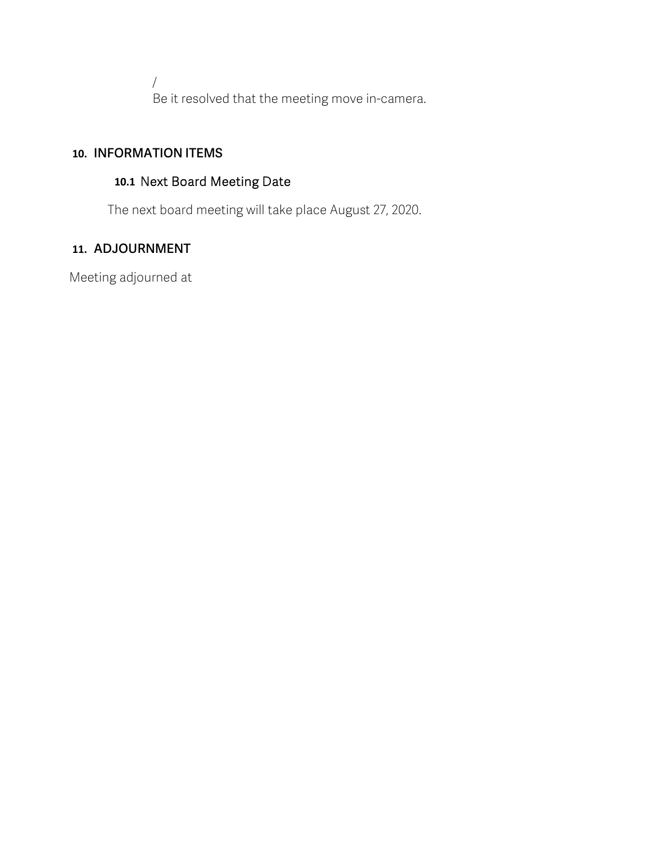/ Be it resolved that the meeting move in-camera.

## **10. INFORMATION ITEMS**

#### **10.1** Next Board Meeting Date

The next board meeting will take place August 27, 2020.

## **11. ADJOURNMENT**

Meeting adjourned at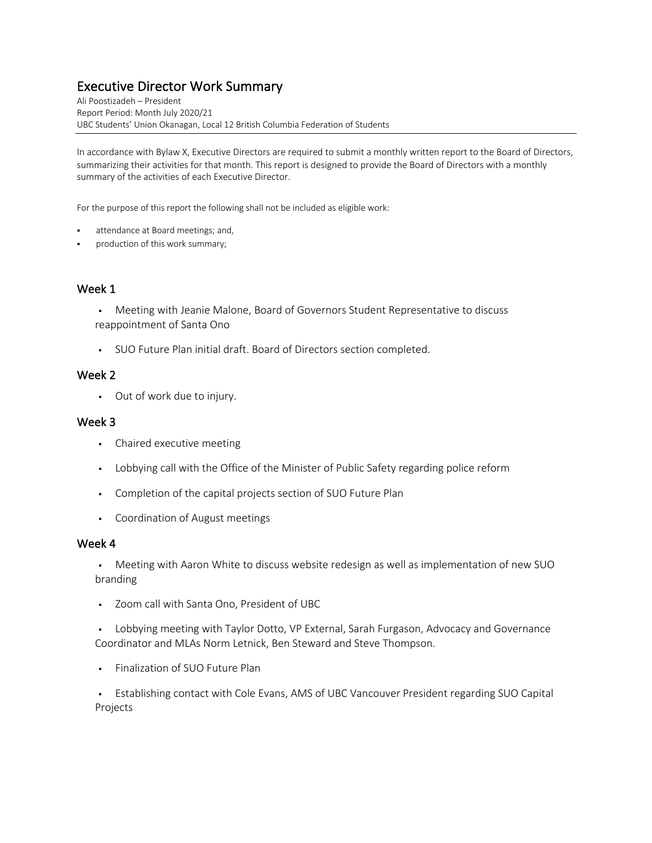# Executive Director Work Summary Ali Poostizadeh – President

Report Period: Month July 2020/21 UBC Students' Union Okanagan, Local 12 British Columbia Federation of Students

In accordance with Bylaw X, Executive Directors are required to submit a monthly written report to the Board of Directors, summarizing their activities for that month. This report is designed to provide the Board of Directors with a monthly summary of the activities of each Executive Director.

For the purpose of this report the following shall not be included as eligible work:

- attendance at Board meetings; and,
- production of this work summary;

#### Week 1

- § Meeting with Jeanie Malone, Board of Governors Student Representative to discuss reappointment of Santa Ono
- § SUO Future Plan initial draft. Board of Directors section completed.

#### Week 2

• Out of work due to injury.

#### Week 3

- Chaired executive meeting
- Lobbying call with the Office of the Minister of Public Safety regarding police reform
- § Completion of the capital projects section of SUO Future Plan
- § Coordination of August meetings

#### Week 4

• Meeting with Aaron White to discuss website redesign as well as implementation of new SUO branding

§ Zoom call with Santa Ono, President of UBC

§ Lobbying meeting with Taylor Dotto, VP External, Sarah Furgason, Advocacy and Governance Coordinator and MLAs Norm Letnick, Ben Steward and Steve Thompson.

§ Finalization of SUO Future Plan

§ Establishing contact with Cole Evans, AMS of UBC Vancouver President regarding SUO Capital Projects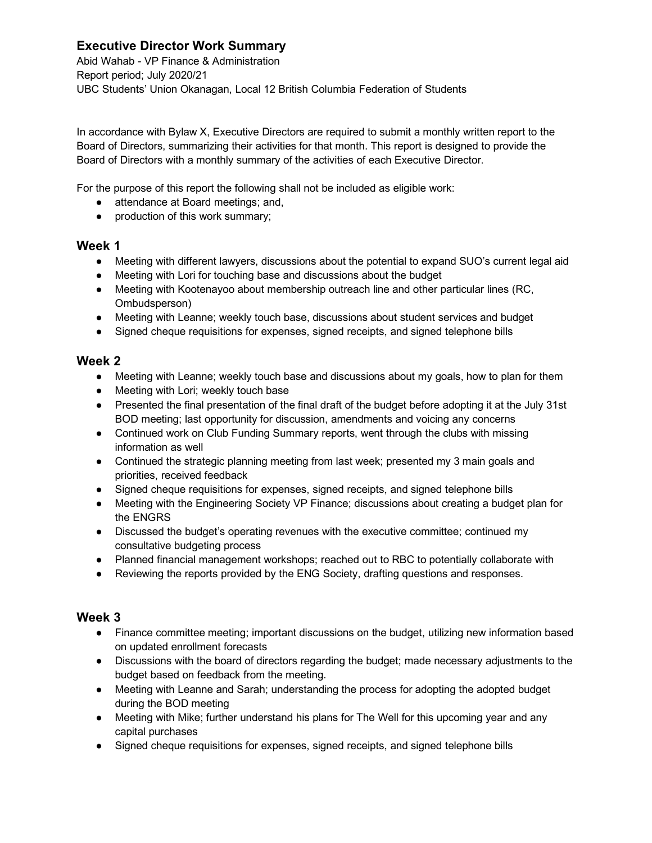#### **Executive Director Work Summary**

Abid Wahab - VP Finance & Administration Report period; July 2020/21 UBC Students' Union Okanagan, Local 12 British Columbia Federation of Students

In accordance with Bylaw X, Executive Directors are required to submit a monthly written report to the Board of Directors, summarizing their activities for that month. This report is designed to provide the Board of Directors with a monthly summary of the activities of each Executive Director.

For the purpose of this report the following shall not be included as eligible work:

- attendance at Board meetings; and,
- production of this work summary;

#### **Week 1**

- Meeting with different lawyers, discussions about the potential to expand SUO's current legal aid
- Meeting with Lori for touching base and discussions about the budget
- Meeting with Kootenayoo about membership outreach line and other particular lines (RC, Ombudsperson)
- Meeting with Leanne; weekly touch base, discussions about student services and budget
- Signed cheque requisitions for expenses, signed receipts, and signed telephone bills

#### **Week 2**

- Meeting with Leanne; weekly touch base and discussions about my goals, how to plan for them
- Meeting with Lori; weekly touch base
- Presented the final presentation of the final draft of the budget before adopting it at the July 31st BOD meeting; last opportunity for discussion, amendments and voicing any concerns
- Continued work on Club Funding Summary reports, went through the clubs with missing information as well
- Continued the strategic planning meeting from last week; presented my 3 main goals and priorities, received feedback
- Signed cheque requisitions for expenses, signed receipts, and signed telephone bills
- Meeting with the Engineering Society VP Finance; discussions about creating a budget plan for the ENGRS
- Discussed the budget's operating revenues with the executive committee; continued my consultative budgeting process
- Planned financial management workshops; reached out to RBC to potentially collaborate with
- Reviewing the reports provided by the ENG Society, drafting questions and responses.

- Finance committee meeting; important discussions on the budget, utilizing new information based on updated enrollment forecasts
- Discussions with the board of directors regarding the budget; made necessary adjustments to the budget based on feedback from the meeting.
- Meeting with Leanne and Sarah; understanding the process for adopting the adopted budget during the BOD meeting
- Meeting with Mike; further understand his plans for The Well for this upcoming year and any capital purchases
- Signed cheque requisitions for expenses, signed receipts, and signed telephone bills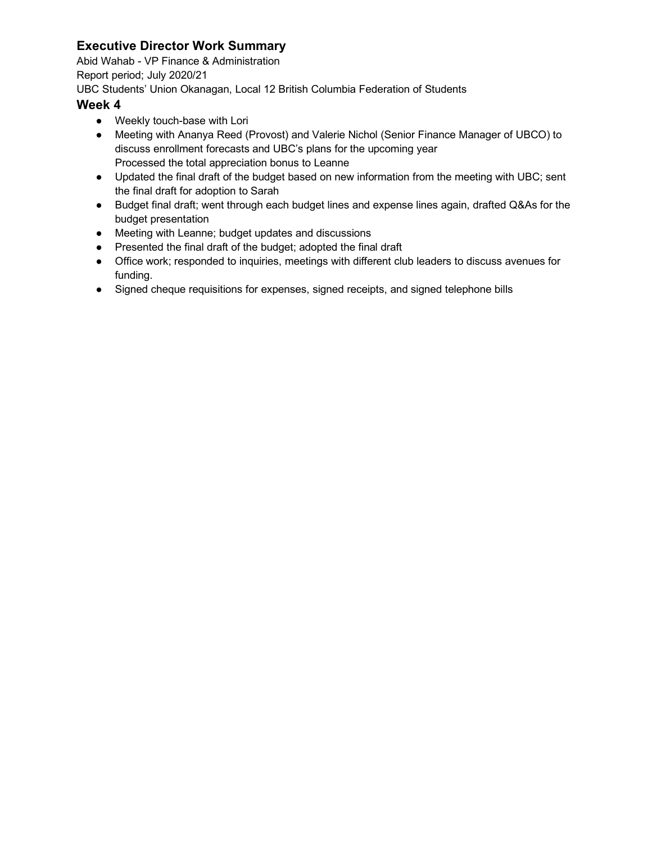## **Executive Director Work Summary**

Abid Wahab - VP Finance & Administration

Report period; July 2020/21

UBC Students' Union Okanagan, Local 12 British Columbia Federation of Students

- Weekly touch-base with Lori
- Meeting with Ananya Reed (Provost) and Valerie Nichol (Senior Finance Manager of UBCO) to discuss enrollment forecasts and UBC's plans for the upcoming year Processed the total appreciation bonus to Leanne
- Updated the final draft of the budget based on new information from the meeting with UBC; sent the final draft for adoption to Sarah
- Budget final draft; went through each budget lines and expense lines again, drafted Q&As for the budget presentation
- Meeting with Leanne; budget updates and discussions
- Presented the final draft of the budget; adopted the final draft
- Office work; responded to inquiries, meetings with different club leaders to discuss avenues for funding.
- Signed cheque requisitions for expenses, signed receipts, and signed telephone bills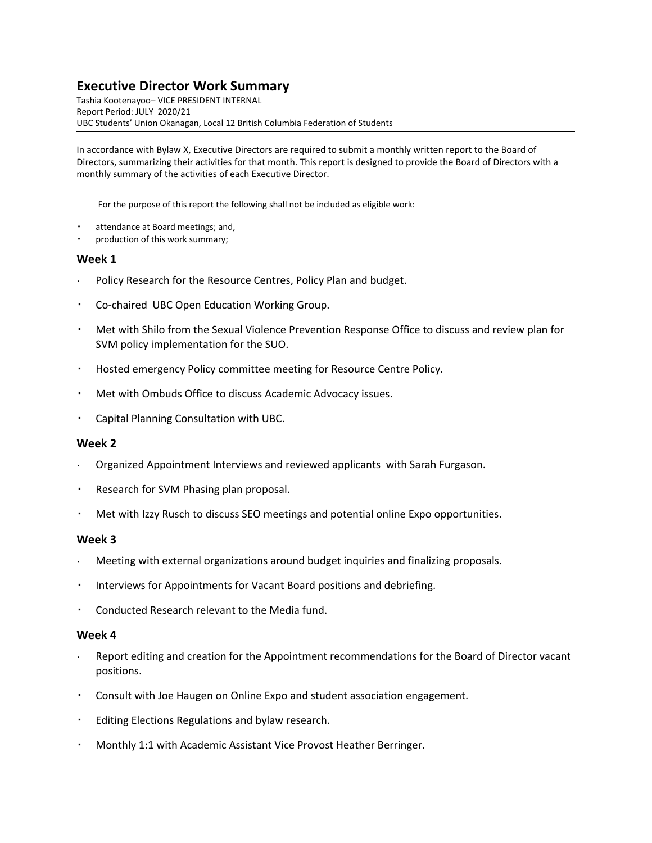#### **Executive Director Work Summary**

Tashia Kootenayoo– VICE PRESIDENT INTERNAL Report Period: JULY 2020/21 UBC Students' Union Okanagan, Local 12 British Columbia Federation of Students

In accordance with Bylaw X, Executive Directors are required to submit a monthly written report to the Board of Directors, summarizing their activities for that month. This report is designed to provide the Board of Directors with a monthly summary of the activities of each Executive Director.

For the purpose of this report the following shall not be included as eligible work:

- attendance at Board meetings; and,
- production of this work summary;

#### **Week 1**

- Policy Research for the Resource Centres, Policy Plan and budget.
- Co-chaired UBC Open Education Working Group.
- Met with Shilo from the Sexual Violence Prevention Response Office to discuss and review plan for SVM policy implementation for the SUO.
- Hosted emergency Policy committee meeting for Resource Centre Policy.
- Met with Ombuds Office to discuss Academic Advocacy issues.
- Capital Planning Consultation with UBC.

#### **Week 2**

- Organized Appointment Interviews and reviewed applicants with Sarah Furgason.
- Research for SVM Phasing plan proposal.
- Met with Izzy Rusch to discuss SEO meetings and potential online Expo opportunities.

#### **Week 3**

- Meeting with external organizations around budget inquiries and finalizing proposals.
- Interviews for Appointments for Vacant Board positions and debriefing.
- Conducted Research relevant to the Media fund.

- Report editing and creation for the Appointment recommendations for the Board of Director vacant positions.
- Consult with Joe Haugen on Online Expo and student association engagement.
- Editing Elections Regulations and bylaw research.
- Monthly 1:1 with Academic Assistant Vice Provost Heather Berringer.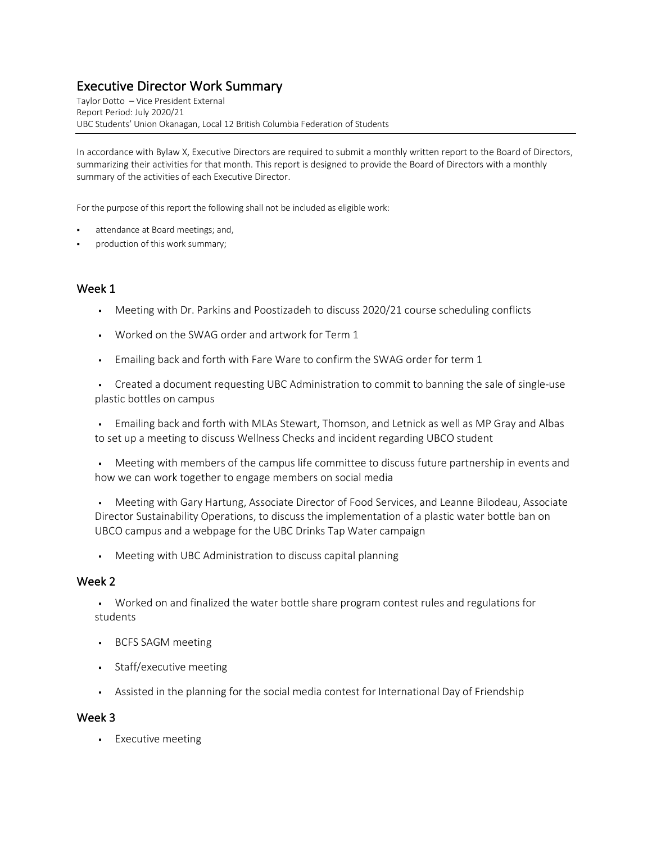# Executive Director Work Summary Taylor Dotto – Vice President External

Report Period: July 2020/21 UBC Students' Union Okanagan, Local 12 British Columbia Federation of Students

In accordance with Bylaw X, Executive Directors are required to submit a monthly written report to the Board of Directors, summarizing their activities for that month. This report is designed to provide the Board of Directors with a monthly summary of the activities of each Executive Director.

For the purpose of this report the following shall not be included as eligible work:

- attendance at Board meetings; and,
- production of this work summary;

#### Week 1

- Meeting with Dr. Parkins and Poostizadeh to discuss 2020/21 course scheduling conflicts
- § Worked on the SWAG order and artwork for Term 1
- Emailing back and forth with Fare Ware to confirm the SWAG order for term 1

• Created a document requesting UBC Administration to commit to banning the sale of single-use plastic bottles on campus

§ Emailing back and forth with MLAs Stewart, Thomson, and Letnick as well as MP Gray and Albas to set up a meeting to discuss Wellness Checks and incident regarding UBCO student

• Meeting with members of the campus life committee to discuss future partnership in events and how we can work together to engage members on social media

§ Meeting with Gary Hartung, Associate Director of Food Services, and Leanne Bilodeau, Associate Director Sustainability Operations, to discuss the implementation of a plastic water bottle ban on UBCO campus and a webpage for the UBC Drinks Tap Water campaign

§ Meeting with UBC Administration to discuss capital planning

#### Week 2

§ Worked on and finalized the water bottle share program contest rules and regulations for students

- § BCFS SAGM meeting
- § Staff/executive meeting
- Assisted in the planning for the social media contest for International Day of Friendship

#### Week 3

§ Executive meeting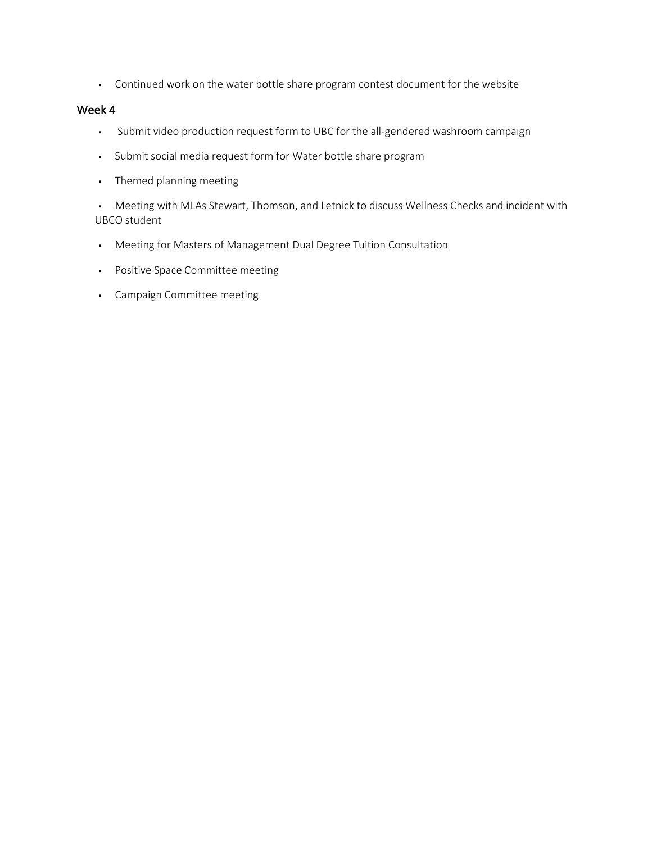• Continued work on the water bottle share program contest document for the website

#### Week 4

- § Submit video production request form to UBC for the all-gendered washroom campaign
- § Submit social media request form for Water bottle share program
- § Themed planning meeting

• Meeting with MLAs Stewart, Thomson, and Letnick to discuss Wellness Checks and incident with UBCO student

- § Meeting for Masters of Management Dual Degree Tuition Consultation
- § Positive Space Committee meeting
- § Campaign Committee meeting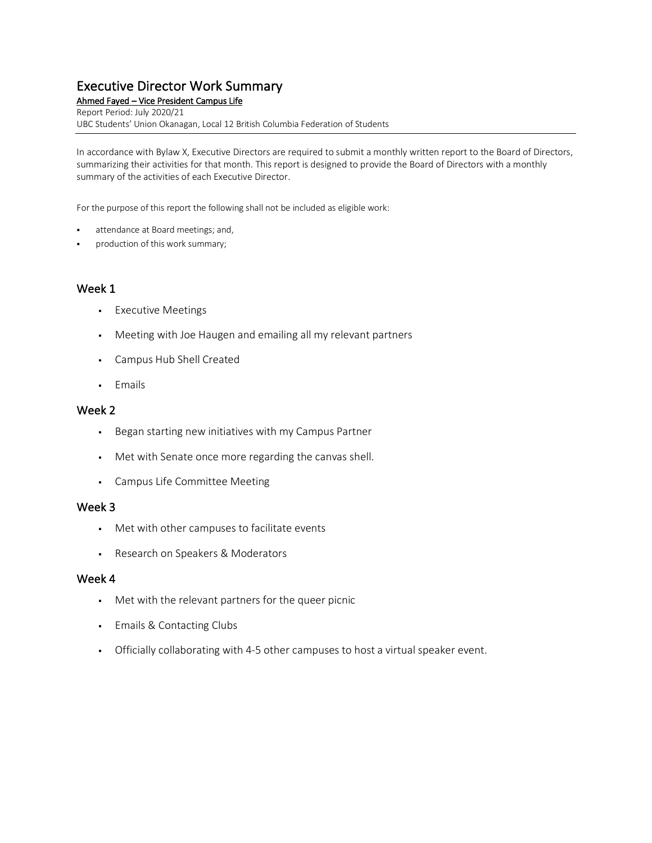# Executive Director Work Summary<br>Ahmed Fayed – Vice President Campus Life

Report Period: July 2020/21 UBC Students' Union Okanagan, Local 12 British Columbia Federation of Students

In accordance with Bylaw X, Executive Directors are required to submit a monthly written report to the Board of Directors, summarizing their activities for that month. This report is designed to provide the Board of Directors with a monthly summary of the activities of each Executive Director.

For the purpose of this report the following shall not be included as eligible work:

- attendance at Board meetings; and,
- production of this work summary;

#### Week 1

- § Executive Meetings
- Meeting with Joe Haugen and emailing all my relevant partners
- § Campus Hub Shell Created
- § Emails

#### Week 2

- § Began starting new initiatives with my Campus Partner
- Met with Senate once more regarding the canvas shell.
- § Campus Life Committee Meeting

#### Week 3

- § Met with other campuses to facilitate events
- § Research on Speakers & Moderators

- Met with the relevant partners for the queer picnic
- § Emails & Contacting Clubs
- Officially collaborating with 4-5 other campuses to host a virtual speaker event.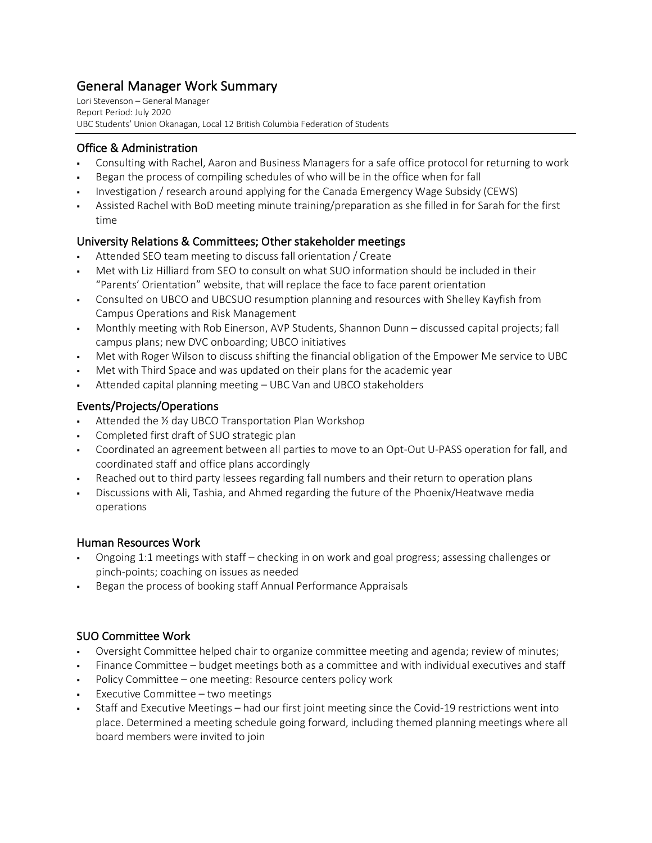# General Manager Work Summary<br>Lori Stevenson – General Manager

Report Period: July 2020 UBC Students' Union Okanagan, Local 12 British Columbia Federation of Students

#### Office & Administration

- Consulting with Rachel, Aaron and Business Managers for a safe office protocol for returning to work
- § Began the process of compiling schedules of who will be in the office when for fall
- § Investigation / research around applying for the Canada Emergency Wage Subsidy (CEWS)
- § Assisted Rachel with BoD meeting minute training/preparation as she filled in for Sarah for the first time

#### University Relations & Committees; Other stakeholder meetings

- Attended SEO team meeting to discuss fall orientation / Create
- § Met with Liz Hilliard from SEO to consult on what SUO information should be included in their "Parents' Orientation" website, that will replace the face to face parent orientation
- Consulted on UBCO and UBCSUO resumption planning and resources with Shelley Kayfish from Campus Operations and Risk Management
- Monthly meeting with Rob Einerson, AVP Students, Shannon Dunn discussed capital projects; fall campus plans; new DVC onboarding; UBCO initiatives
- Met with Roger Wilson to discuss shifting the financial obligation of the Empower Me service to UBC
- Met with Third Space and was updated on their plans for the academic year
- § Attended capital planning meeting UBC Van and UBCO stakeholders

#### Events/Projects/Operations

- Attended the <sup>1/2</sup> day UBCO Transportation Plan Workshop
- § Completed first draft of SUO strategic plan
- § Coordinated an agreement between all parties to move to an Opt-Out U-PASS operation for fall, and coordinated staff and office plans accordingly
- Reached out to third party lessees regarding fall numbers and their return to operation plans
- § Discussions with Ali, Tashia, and Ahmed regarding the future of the Phoenix/Heatwave media operations

#### Human Resources Work

- § Ongoing 1:1 meetings with staff checking in on work and goal progress; assessing challenges or pinch-points; coaching on issues as needed
- § Began the process of booking staff Annual Performance Appraisals

#### SUO Committee Work

- § Oversight Committee helped chair to organize committee meeting and agenda; review of minutes;
- Finance Committee budget meetings both as a committee and with individual executives and staff
- Policy Committee one meeting: Resource centers policy work
- § Executive Committee two meetings
- § Staff and Executive Meetings had our first joint meeting since the Covid-19 restrictions went into place. Determined a meeting schedule going forward, including themed planning meetings where all board members were invited to join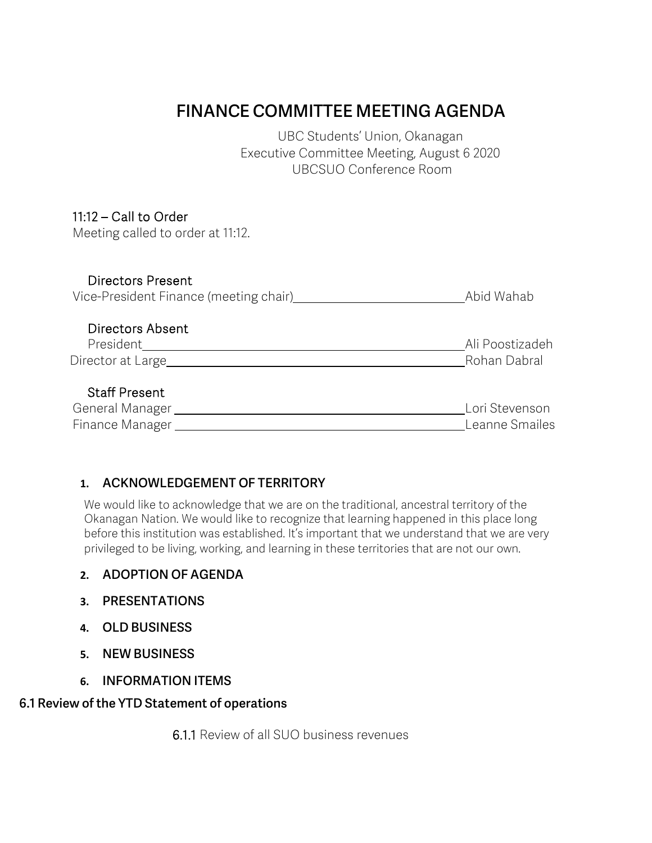## **FINANCE COMMITTEE MEETING AGENDA**

UBC Students' Union, Okanagan Executive Committee Meeting, August 6 2020 UBCSUO Conference Room

## 11:12 – Call to Order

Meeting called to order at 11:12.

#### Directors Present

| Vice-President Finance (meeting chair) | Abid Wahab |
|----------------------------------------|------------|
|----------------------------------------|------------|

#### Directors Absent

| President         | Ali Poostizadeh |
|-------------------|-----------------|
| Director at Large | Rohan Dabral    |

## Staff Present

| General Manager | Lori Stevenson |
|-----------------|----------------|
| Finance Manager | Leanne Smailes |

## **1. ACKNOWLEDGEMENT OF TERRITORY**

We would like to acknowledge that we are on the traditional, ancestral territory of the Okanagan Nation. We would like to recognize that learning happened in this place long before this institution was established. It's important that we understand that we are very privileged to be living, working, and learning in these territories that are not our own.

## **2. ADOPTION OF AGENDA**

- **3. PRESENTATIONS**
- **4. OLD BUSINESS**
- **5. NEW BUSINESS**
- **6. INFORMATION ITEMS**

## **6.1 Review of the YTD Statement of operations**

6.1.1 Review of all SUO business revenues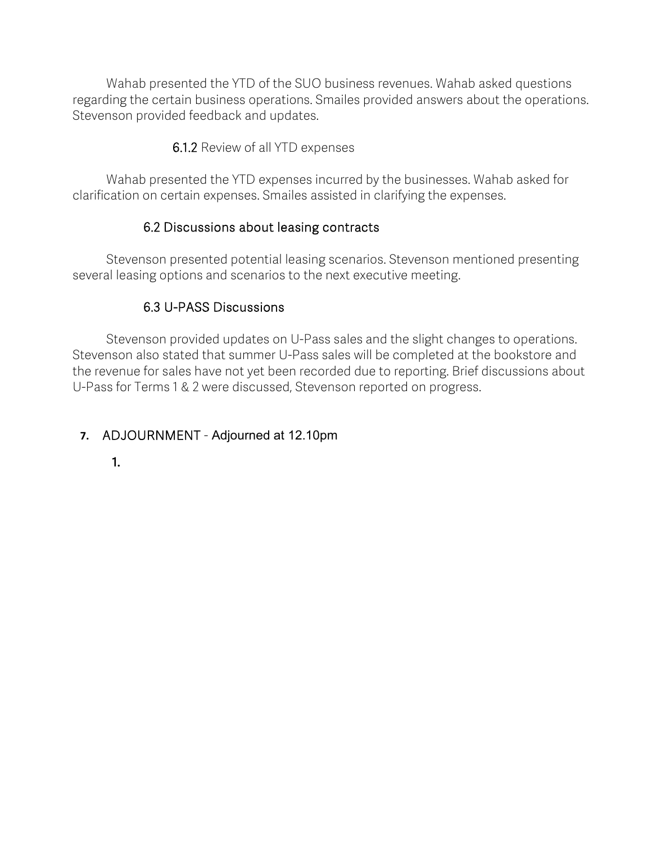Wahab presented the YTD of the SUO business revenues. Wahab asked questions regarding the certain business operations. Smailes provided answers about the operations. Stevenson provided feedback and updates.

6.1.2 Review of all YTD expenses

Wahab presented the YTD expenses incurred by the businesses. Wahab asked for clarification on certain expenses. Smailes assisted in clarifying the expenses.

## 6.2 Discussions about leasing contracts

 Stevenson presented potential leasing scenarios. Stevenson mentioned presenting several leasing options and scenarios to the next executive meeting.

## 6.3 U-PASS Discussions

 Stevenson provided updates on U-Pass sales and the slight changes to operations. Stevenson also stated that summer U-Pass sales will be completed at the bookstore and the revenue for sales have not yet been recorded due to reporting. Brief discussions about U-Pass for Terms 1 & 2 were discussed, Stevenson reported on progress.

## **7.** ADJOURNMENT - Adjourned at 12.10pm

**1.**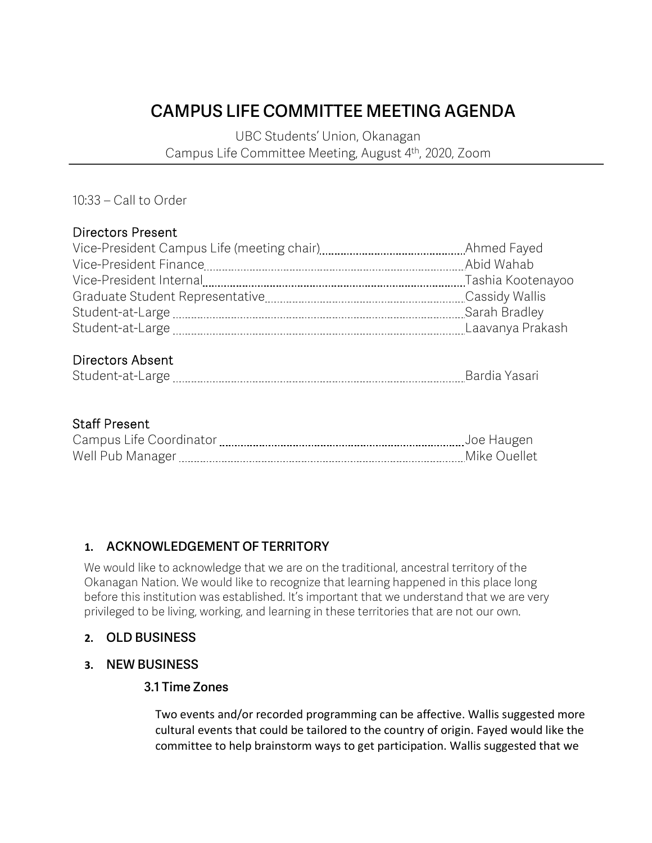# **CAMPUS LIFE COMMITTEE MEETING AGENDA**

UBC Students' Union, Okanagan Campus Life Committee Meeting, August 4th, 2020, Zoom

10:33 – Call to Order

#### Directors Present

| Ahmed Fayed       |
|-------------------|
| Abid Wahab        |
| Tashia Kootenayoo |
| Cassidy Wallis    |
| Sarah Bradley     |
| Laavanya Prakash  |
|                   |

## Directors Absent

| . |
|---|
|---|

#### Staff Present

| Campus Life Coordinator | Toe Haugen   |
|-------------------------|--------------|
| Well Pub Manager        | Mike Ouellet |

## **1. ACKNOWLEDGEMENT OF TERRITORY**

We would like to acknowledge that we are on the traditional, ancestral territory of the Okanagan Nation. We would like to recognize that learning happened in this place long before this institution was established. It's important that we understand that we are very privileged to be living, working, and learning in these territories that are not our own.

## **2. OLD BUSINESS**

#### **3. NEW BUSINESS**

#### **3.1 Time Zones**

Two events and/or recorded programming can be affective. Wallis suggested more cultural events that could be tailored to the country of origin. Fayed would like the committee to help brainstorm ways to get participation. Wallis suggested that we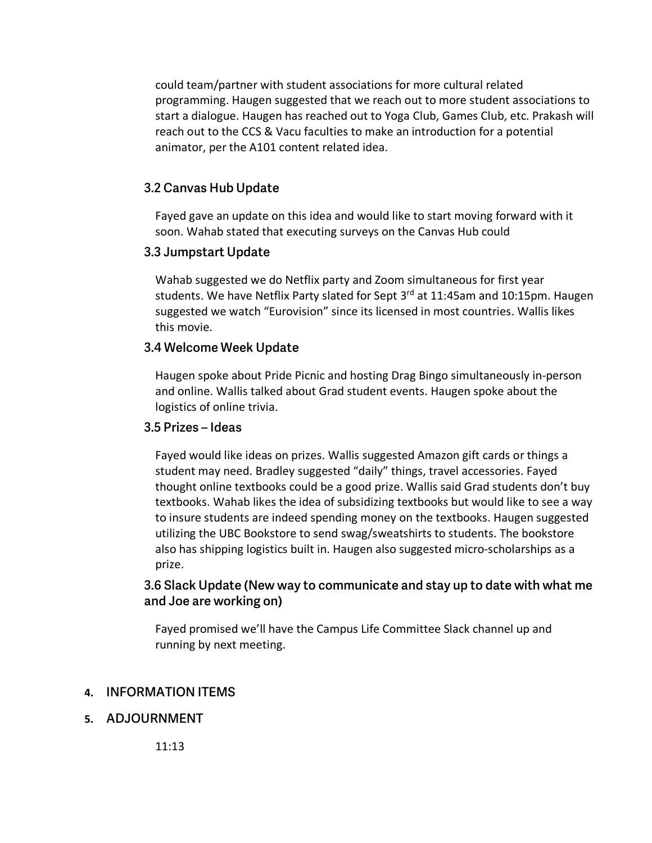could team/partner with student associations for more cultural related programming. Haugen suggested that we reach out to more student associations to start a dialogue. Haugen has reached out to Yoga Club, Games Club, etc. Prakash will reach out to the CCS & Vacu faculties to make an introduction for a potential animator, per the A101 content related idea.

#### **3.2 Canvas Hub Update**

Fayed gave an update on this idea and would like to start moving forward with it soon. Wahab stated that executing surveys on the Canvas Hub could

#### **3.3 Jumpstart Update**

Wahab suggested we do Netflix party and Zoom simultaneous for first year students. We have Netflix Party slated for Sept 3<sup>rd</sup> at 11:45am and 10:15pm. Haugen suggested we watch "Eurovision" since its licensed in most countries. Wallis likes this movie.

#### **3.4 Welcome Week Update**

Haugen spoke about Pride Picnic and hosting Drag Bingo simultaneously in-person and online. Wallis talked about Grad student events. Haugen spoke about the logistics of online trivia.

#### **3.5 Prizes – Ideas**

Fayed would like ideas on prizes. Wallis suggested Amazon gift cards or things a student may need. Bradley suggested "daily" things, travel accessories. Fayed thought online textbooks could be a good prize. Wallis said Grad students don't buy textbooks. Wahab likes the idea of subsidizing textbooks but would like to see a way to insure students are indeed spending money on the textbooks. Haugen suggested utilizing the UBC Bookstore to send swag/sweatshirts to students. The bookstore also has shipping logistics built in. Haugen also suggested micro-scholarships as a prize.

#### **3.6 Slack Update (New way to communicate and stay up to date with what me and Joe are working on)**

Fayed promised we'll have the Campus Life Committee Slack channel up and running by next meeting.

#### **4. INFORMATION ITEMS**

#### **5. ADJOURNMENT**

11:13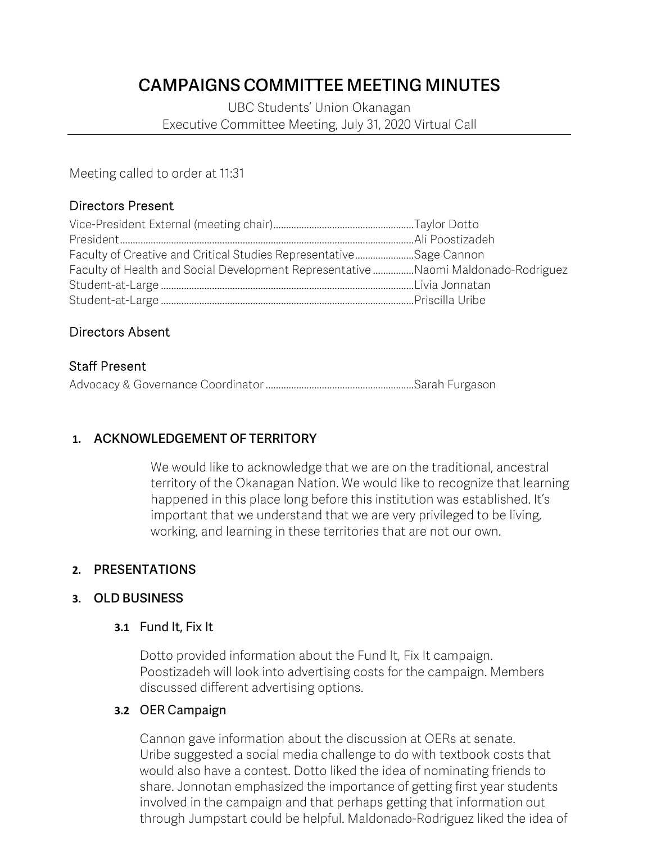## **CAMPAIGNS COMMITTEE MEETING MINUTES**

UBC Students' Union Okanagan Executive Committee Meeting, July 31, 2020 Virtual Call

Meeting called to order at 11:31

## Directors Present

| Faculty of Creative and Critical Studies RepresentativeSage Cannon                |  |
|-----------------------------------------------------------------------------------|--|
| Faculty of Health and Social Development Representative Naomi Maldonado-Rodriguez |  |
|                                                                                   |  |
|                                                                                   |  |

## Directors Absent

#### Staff Present

Advocacy & Governance Coordinator ..........................................................Sarah Furgason

## **1. ACKNOWLEDGEMENT OF TERRITORY**

We would like to acknowledge that we are on the traditional, ancestral territory of the Okanagan Nation. We would like to recognize that learning happened in this place long before this institution was established. It's important that we understand that we are very privileged to be living, working, and learning in these territories that are not our own.

## **2. PRESENTATIONS**

#### **3. OLD BUSINESS**

#### **3.1** Fund It, Fix It

Dotto provided information about the Fund It, Fix It campaign. Poostizadeh will look into advertising costs for the campaign. Members discussed different advertising options.

#### **3.2** OER Campaign

Cannon gave information about the discussion at OERs at senate. Uribe suggested a social media challenge to do with textbook costs that would also have a contest. Dotto liked the idea of nominating friends to share. Jonnotan emphasized the importance of getting first year students involved in the campaign and that perhaps getting that information out through Jumpstart could be helpful. Maldonado-Rodriguez liked the idea of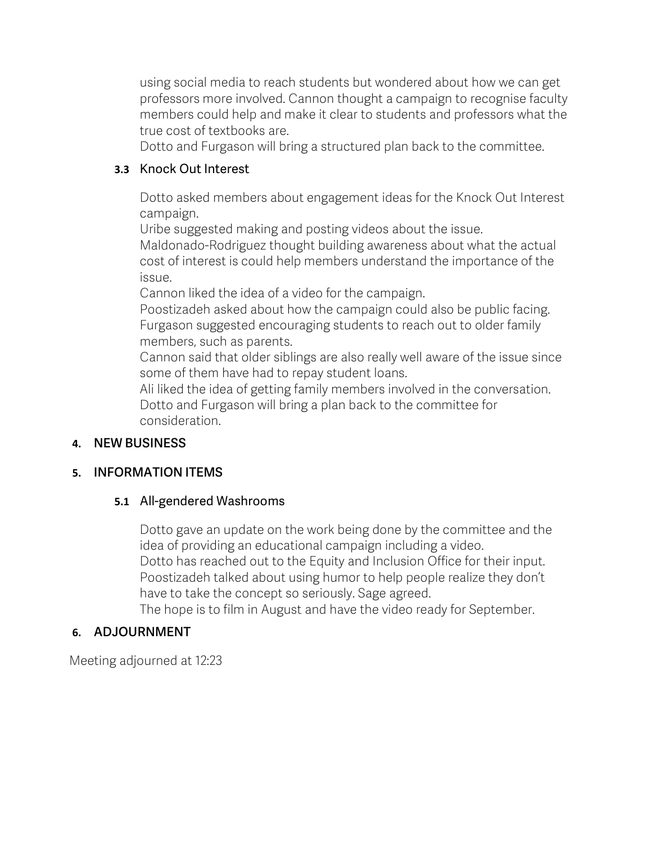using social media to reach students but wondered about how we can get professors more involved. Cannon thought a campaign to recognise faculty members could help and make it clear to students and professors what the true cost of textbooks are.

Dotto and Furgason will bring a structured plan back to the committee.

## **3.3** Knock Out Interest

Dotto asked members about engagement ideas for the Knock Out Interest campaign.

Uribe suggested making and posting videos about the issue.

Maldonado-Rodriguez thought building awareness about what the actual cost of interest is could help members understand the importance of the issue.

Cannon liked the idea of a video for the campaign.

Poostizadeh asked about how the campaign could also be public facing. Furgason suggested encouraging students to reach out to older family members, such as parents.

Cannon said that older siblings are also really well aware of the issue since some of them have had to repay student loans.

Ali liked the idea of getting family members involved in the conversation. Dotto and Furgason will bring a plan back to the committee for consideration.

## **4. NEW BUSINESS**

## **5. INFORMATION ITEMS**

## **5.1** All-gendered Washrooms

Dotto gave an update on the work being done by the committee and the idea of providing an educational campaign including a video. Dotto has reached out to the Equity and Inclusion Office for their input. Poostizadeh talked about using humor to help people realize they don't have to take the concept so seriously. Sage agreed. The hope is to film in August and have the video ready for September.

## **6. ADJOURNMENT**

Meeting adjourned at 12:23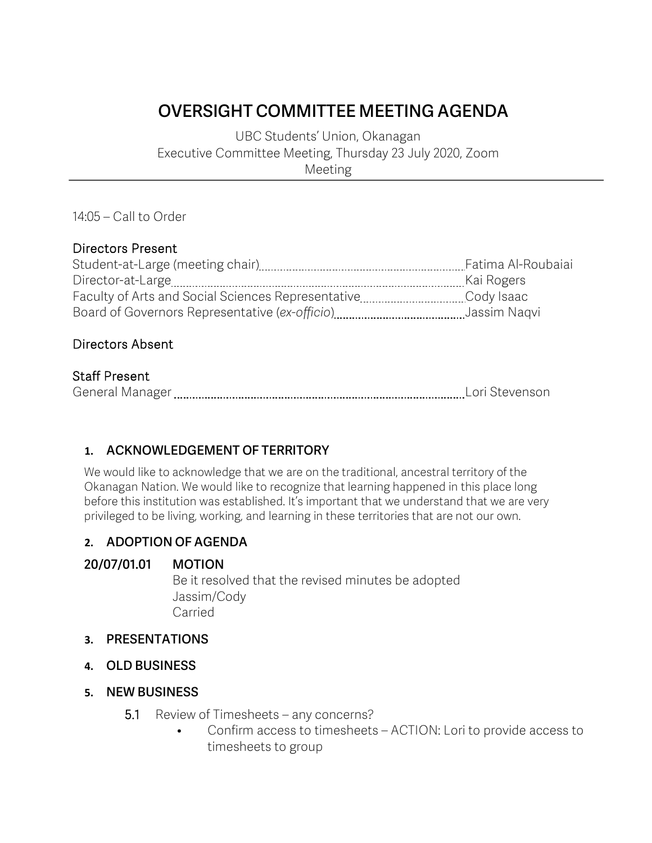# **OVERSIGHT COMMITTEE MEETING AGENDA**

UBC Students' Union, Okanagan Executive Committee Meeting, Thursday 23 July 2020, Zoom Meeting

#### 14:05 – Call to Order

#### Directors Present

| Student-at-Large (meeting chair)                   | Fatima Al-Roubaiai |
|----------------------------------------------------|--------------------|
|                                                    | Kai Rogers         |
| Faculty of Arts and Social Sciences Representative | Cody Isaac         |
|                                                    | Jassim Nagvi       |

## Directors Absent

## Staff Present

| ∽<br>--<br>. |  |
|--------------|--|
|--------------|--|

## **1. ACKNOWLEDGEMENT OF TERRITORY**

We would like to acknowledge that we are on the traditional, ancestral territory of the Okanagan Nation. We would like to recognize that learning happened in this place long before this institution was established. It's important that we understand that we are very privileged to be living, working, and learning in these territories that are not our own.

#### **2. ADOPTION OF AGENDA**

#### **20/07/01.01 MOTION**

Be it resolved that the revised minutes be adopted Jassim/Cody Carried

#### **3. PRESENTATIONS**

**4. OLD BUSINESS**

#### **5. NEW BUSINESS**

- 5.1 Review of Timesheets any concerns?
	- Confirm access to timesheets ACTION: Lori to provide access to timesheets to group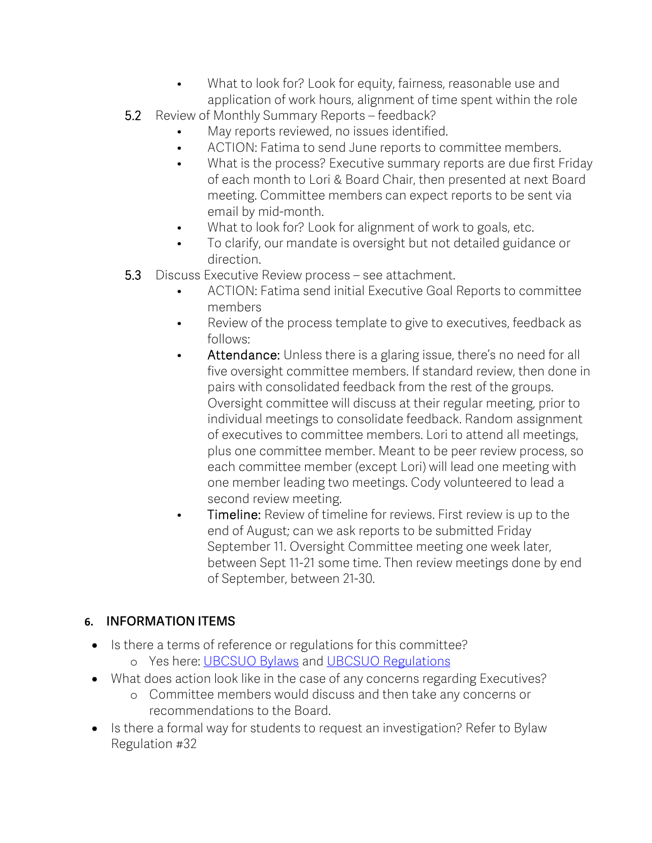- What to look for? Look for equity, fairness, reasonable use and application of work hours, alignment of time spent within the role
- 5.2 Review of Monthly Summary Reports feedback?
	- May reports reviewed, no issues identified.
	- ACTION: Fatima to send June reports to committee members.
	- What is the process? Executive summary reports are due first Friday of each month to Lori & Board Chair, then presented at next Board meeting. Committee members can expect reports to be sent via email by mid-month.
	- What to look for? Look for alignment of work to goals, etc.
	- To clarify, our mandate is oversight but not detailed guidance or direction.
- 5.3 Discuss Executive Review process see attachment.
	- ACTION: Fatima send initial Executive Goal Reports to committee members
	- Review of the process template to give to executives, feedback as follows:
	- Attendance: Unless there is a glaring issue, there's no need for all five oversight committee members. If standard review, then done in pairs with consolidated feedback from the rest of the groups. Oversight committee will discuss at their regular meeting, prior to individual meetings to consolidate feedback. Random assignment of executives to committee members. Lori to attend all meetings, plus one committee member. Meant to be peer review process, so each committee member (except Lori) will lead one meeting with one member leading two meetings. Cody volunteered to lead a second review meeting.
	- Timeline: Review of timeline for reviews. First review is up to the end of August; can we ask reports to be submitted Friday September 11. Oversight Committee meeting one week later, between Sept 11-21 some time. Then review meetings done by end of September, between 21-30.

## **6. INFORMATION ITEMS**

- Is there a terms of reference or regulations for this committee?
	- o Yes here: UBCSUO Bylaws and UBCSUO Regulations
- What does action look like in the case of any concerns regarding Executives?
	- o Committee members would discuss and then take any concerns or recommendations to the Board.
- Is there a formal way for students to request an investigation? Refer to Bylaw Regulation #32